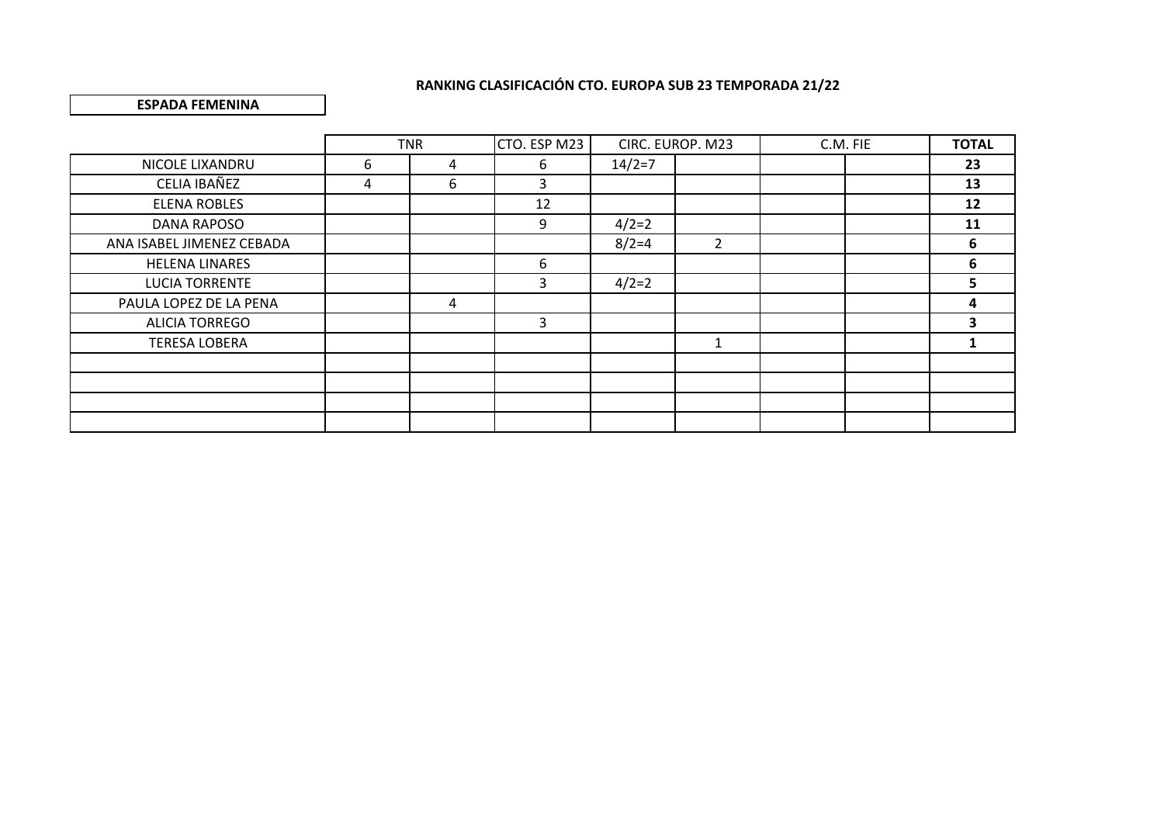### **ESPADA FEMENINA**

|                           |   | <b>TNR</b>     | CTO. ESP M23 |          | CIRC. EUROP. M23 | C.M. FIE |  | <b>TOTAL</b> |
|---------------------------|---|----------------|--------------|----------|------------------|----------|--|--------------|
| NICOLE LIXANDRU           | 6 | $\overline{4}$ | 6            | $14/2=7$ |                  |          |  | 23           |
| CELIA IBAÑEZ              | 4 | 6              | 3            |          |                  |          |  | 13           |
| <b>ELENA ROBLES</b>       |   |                | 12           |          |                  |          |  | 12           |
| DANA RAPOSO               |   |                | 9            | $4/2=2$  |                  |          |  | 11           |
| ANA ISABEL JIMENEZ CEBADA |   |                |              | $8/2=4$  | $\overline{2}$   |          |  | 6            |
| <b>HELENA LINARES</b>     |   |                | 6            |          |                  |          |  | 6            |
| <b>LUCIA TORRENTE</b>     |   |                | 3            | $4/2=2$  |                  |          |  | 5            |
| PAULA LOPEZ DE LA PENA    |   | 4              |              |          |                  |          |  | 4            |
| <b>ALICIA TORREGO</b>     |   |                | 3            |          |                  |          |  | 3            |
| <b>TERESA LOBERA</b>      |   |                |              |          | 1                |          |  |              |
|                           |   |                |              |          |                  |          |  |              |
|                           |   |                |              |          |                  |          |  |              |
|                           |   |                |              |          |                  |          |  |              |
|                           |   |                |              |          |                  |          |  |              |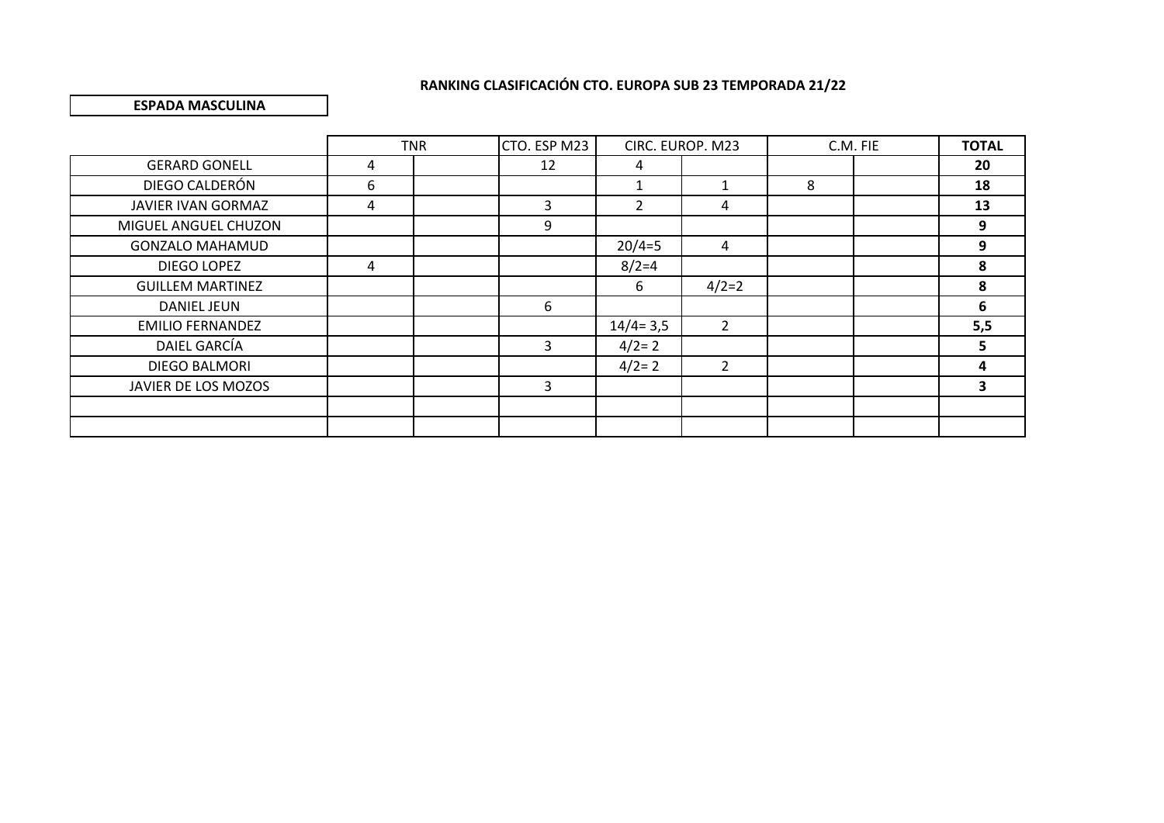### **ESPADA MASCULINA**

|                         |   | <b>TNR</b> | CTO. ESP M23 | CIRC. EUROP. M23 |                |   | C.M. FIE | <b>TOTAL</b> |
|-------------------------|---|------------|--------------|------------------|----------------|---|----------|--------------|
| <b>GERARD GONELL</b>    | 4 |            | 12           | 4                |                |   |          | 20           |
| DIEGO CALDERÓN          | 6 |            |              |                  |                | 8 |          | 18           |
| JAVIER IVAN GORMAZ      | 4 |            | 3            | $\overline{2}$   | 4              |   |          | 13           |
| MIGUEL ANGUEL CHUZON    |   |            | 9            |                  |                |   |          | 9            |
| <b>GONZALO MAHAMUD</b>  |   |            |              | $20/4=5$         | 4              |   |          | 9            |
| DIEGO LOPEZ             | 4 |            |              | $8/2=4$          |                |   |          | 8            |
| <b>GUILLEM MARTINEZ</b> |   |            |              | 6                | $4/2=2$        |   |          | 8            |
| <b>DANIEL JEUN</b>      |   |            | 6            |                  |                |   |          | 6            |
| <b>EMILIO FERNANDEZ</b> |   |            |              | $14/4 = 3,5$     | $\overline{2}$ |   |          | 5,5          |
| DAIEL GARCÍA            |   |            | 3            | $4/2=2$          |                |   |          |              |
| DIEGO BALMORI           |   |            |              | $4/2=2$          | 2              |   |          |              |
| JAVIER DE LOS MOZOS     |   |            | 3            |                  |                |   |          |              |
|                         |   |            |              |                  |                |   |          |              |
|                         |   |            |              |                  |                |   |          |              |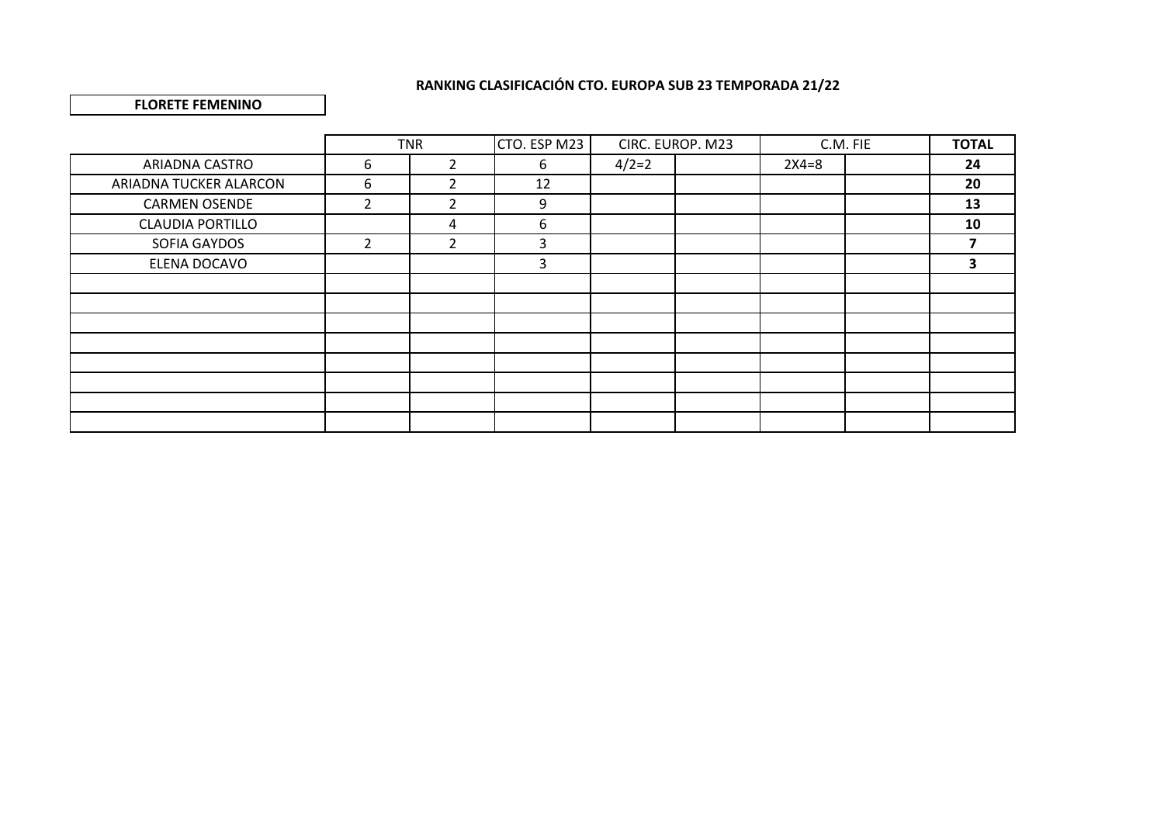#### **FLORETE FEMENINO**

|                         |                | <b>TNR</b>     | CTO. ESP M23 |         | CIRC. EUROP. M23 |         | C.M. FIE | <b>TOTAL</b> |
|-------------------------|----------------|----------------|--------------|---------|------------------|---------|----------|--------------|
| ARIADNA CASTRO          | 6              | $\overline{2}$ | 6            | $4/2=2$ |                  | $2X4=8$ |          | 24           |
| ARIADNA TUCKER ALARCON  | 6              | 2              | 12           |         |                  |         |          | 20           |
| <b>CARMEN OSENDE</b>    | $\overline{2}$ | $\overline{2}$ | 9            |         |                  |         |          | 13           |
| <b>CLAUDIA PORTILLO</b> |                | 4              | 6            |         |                  |         |          | 10           |
| SOFIA GAYDOS            | $\overline{2}$ | $\overline{2}$ | 3            |         |                  |         |          |              |
| ELENA DOCAVO            |                |                | 3            |         |                  |         |          | 3            |
|                         |                |                |              |         |                  |         |          |              |
|                         |                |                |              |         |                  |         |          |              |
|                         |                |                |              |         |                  |         |          |              |
|                         |                |                |              |         |                  |         |          |              |
|                         |                |                |              |         |                  |         |          |              |
|                         |                |                |              |         |                  |         |          |              |
|                         |                |                |              |         |                  |         |          |              |
|                         |                |                |              |         |                  |         |          |              |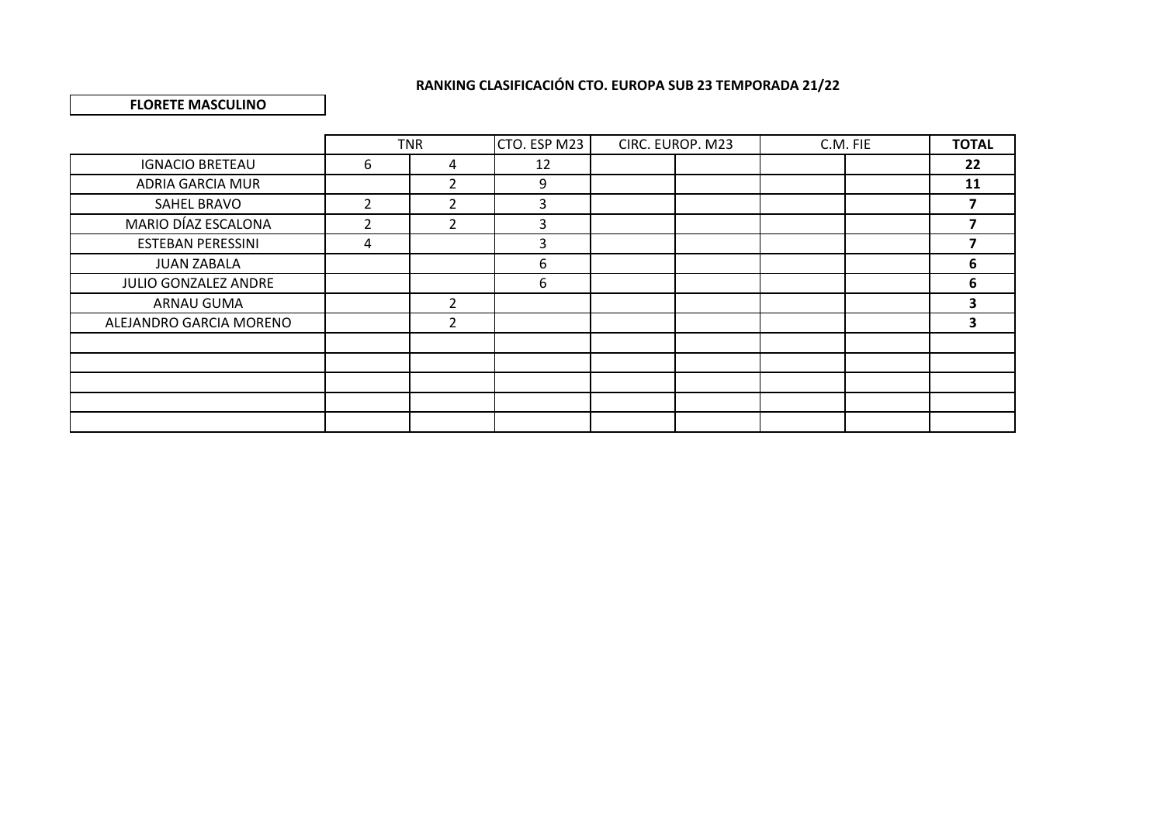### **FLORETE MASCULINO**

|                          |                | <b>TNR</b>     | CTO. ESP M23 | CIRC. EUROP. M23 | C.M. FIE | <b>TOTAL</b> |
|--------------------------|----------------|----------------|--------------|------------------|----------|--------------|
| <b>IGNACIO BRETEAU</b>   | 6              | 4              | 12           |                  |          | 22           |
| ADRIA GARCIA MUR         |                | $\overline{2}$ | 9            |                  |          | 11           |
| SAHEL BRAVO              | $\mathcal{P}$  | 2              | 3            |                  |          |              |
| MARIO DÍAZ ESCALONA      | $\mathfrak{p}$ | $\overline{2}$ | 3            |                  |          |              |
| <b>ESTEBAN PERESSINI</b> | 4              |                | 3            |                  |          |              |
| <b>JUAN ZABALA</b>       |                |                | 6            |                  |          | 6            |
| JULIO GONZALEZ ANDRE     |                |                | 6            |                  |          | 6            |
| ARNAU GUMA               |                | $\overline{2}$ |              |                  |          | 3            |
| ALEJANDRO GARCIA MORENO  |                | 2              |              |                  |          | 3            |
|                          |                |                |              |                  |          |              |
|                          |                |                |              |                  |          |              |
|                          |                |                |              |                  |          |              |
|                          |                |                |              |                  |          |              |
|                          |                |                |              |                  |          |              |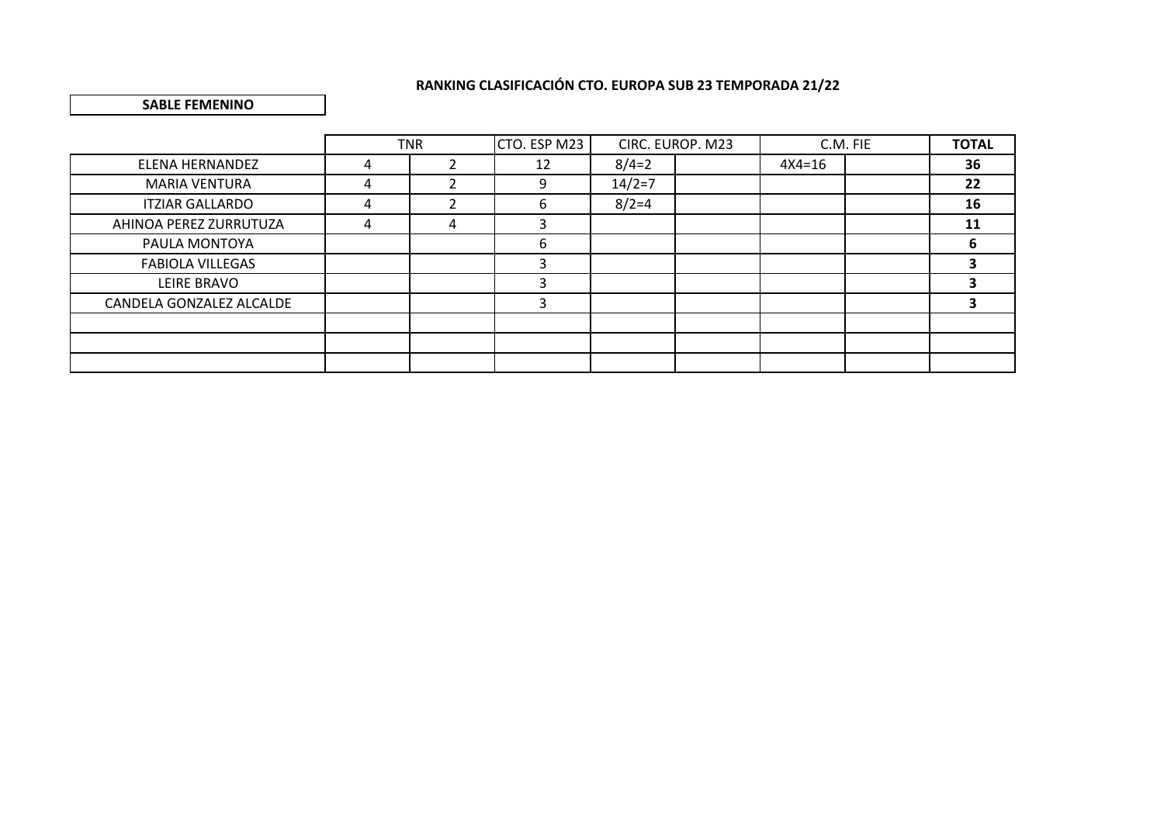#### **SABLE FEMENINO**

|                          |   | <b>TNR</b> | CTO. ESP M23 |          | CIRC. EUROP. M23 |            | C.M. FIE | <b>TOTAL</b> |
|--------------------------|---|------------|--------------|----------|------------------|------------|----------|--------------|
| ELENA HERNANDEZ          | 4 |            | 12           | $8/4=2$  |                  | $4X4 = 16$ |          | 36           |
| <b>MARIA VENTURA</b>     | 4 |            | 9            | $14/2=7$ |                  |            |          | 22           |
| <b>ITZIAR GALLARDO</b>   | 4 |            | 6            | $8/2=4$  |                  |            |          | 16           |
| AHINOA PEREZ ZURRUTUZA   | 4 | 4          | 3            |          |                  |            |          | 11           |
| PAULA MONTOYA            |   |            | 6            |          |                  |            |          | 6            |
| <b>FABIOLA VILLEGAS</b>  |   |            | 3            |          |                  |            |          |              |
| LEIRE BRAVO              |   |            |              |          |                  |            |          |              |
| CANDELA GONZALEZ ALCALDE |   |            | 3            |          |                  |            |          | э            |
|                          |   |            |              |          |                  |            |          |              |
|                          |   |            |              |          |                  |            |          |              |
|                          |   |            |              |          |                  |            |          |              |